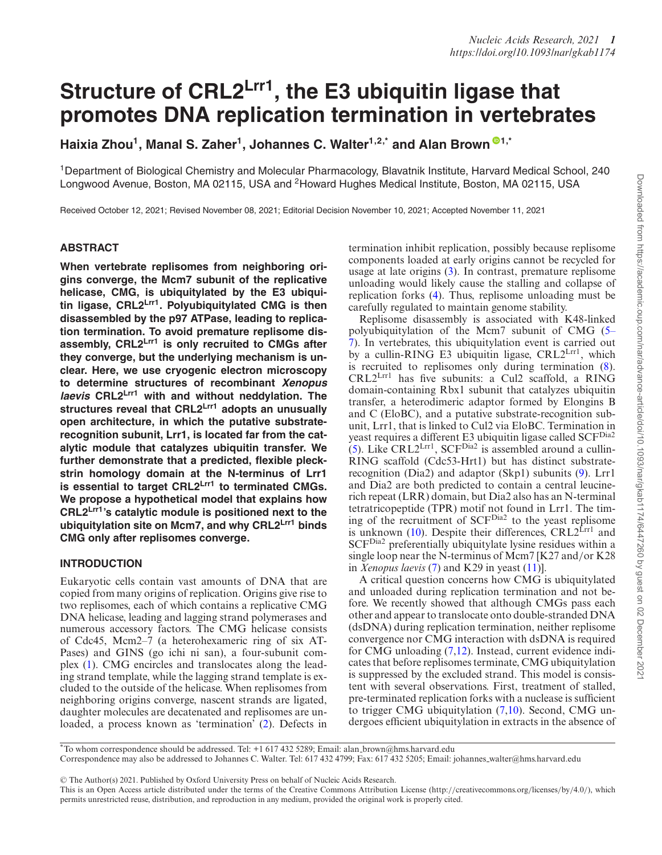# **Structure of CRL2Lrr1, the E3 ubiquitin ligase that promotes DNA replication termination in vertebrates**

Haixia Zhou<sup>[1](https://orcid.org/0000-0002-0021-0476)</sup>, Manal S. Zaher<sup>1</sup>, Johannes C. Walter<sup>1,2,\*</sup> and Alan Brown<sup>®1,\*</sup>

1Department of Biological Chemistry and Molecular Pharmacology, Blavatnik Institute, Harvard Medical School, 240 Longwood Avenue, Boston, MA 02115, USA and <sup>2</sup>Howard Hughes Medical Institute, Boston, MA 02115, USA

Received October 12, 2021; Revised November 08, 2021; Editorial Decision November 10, 2021; Accepted November 11, 2021

## **ABSTRACT**

**When vertebrate replisomes from neighboring origins converge, the Mcm7 subunit of the replicative helicase, CMG, is ubiquitylated by the E3 ubiquitin ligase, CRL2Lrr1. Polyubiquitylated CMG is then disassembled by the p97 ATPase, leading to replication termination. To avoid premature replisome disassembly, CRL2Lrr1 is only recruited to CMGs after they converge, but the underlying mechanism is unclear. Here, we use cryogenic electron microscopy to determine structures of recombinant Xenopus laevis CRL2Lrr1 with and without neddylation. The structures reveal that CRL2Lrr1 adopts an unusually open architecture, in which the putative substraterecognition subunit, Lrr1, is located far from the catalytic module that catalyzes ubiquitin transfer. We further demonstrate that a predicted, flexible pleckstrin homology domain at the N-terminus of Lrr1 is essential to target CRL2Lrr1 to terminated CMGs. We propose a hypothetical model that explains how CRL2Lrr1's catalytic module is positioned next to the ubiquitylation site on Mcm7, and why CRL2Lrr1 binds CMG only after replisomes converge.**

## **INTRODUCTION**

Eukaryotic cells contain vast amounts of DNA that are copied from many origins of replication. Origins give rise to two replisomes, each of which contains a replicative CMG DNA helicase, leading and lagging strand polymerases and numerous accessory factors. The CMG helicase consists of Cdc45, Mcm2–7 (a heterohexameric ring of six AT-Pases) and GINS (go ichi ni san), a four-subunit complex [\(1\)](#page-10-0). CMG encircles and translocates along the leading strand template, while the lagging strand template is excluded to the outside of the helicase. When replisomes from neighboring origins converge, nascent strands are ligated, daughter molecules are decatenated and replisomes are unloaded, a process known as 'termination' [\(2\)](#page-11-0). Defects in

termination inhibit replication, possibly because replisome components loaded at early origins cannot be recycled for usage at late origins [\(3\)](#page-11-0). In contrast, premature replisome unloading would likely cause the stalling and collapse of replication forks [\(4\)](#page-11-0). Thus, replisome unloading must be carefully regulated to maintain genome stability.

Replisome disassembly is associated with K48-linked polyubiquitylation of the Mcm7 subunit of CMG (5– [7\). In vertebrates, this ubiquitylation event is carried out](#page-11-0) by a cullin-RING E3 ubiquitin ligase, CRL2<sup>Lrr1</sup>, which is recruited to replisomes only during termination [\(8\)](#page-11-0).  $CRL2<sup>Lrr1</sup>$  has five subunits: a Cul2 scaffold, a RING domain-containing Rbx1 subunit that catalyzes ubiquitin transfer, a heterodimeric adaptor formed by Elongins B and C (EloBC), and a putative substrate-recognition subunit, Lrr1, that is linked to Cul2 via EloBC. Termination in yeast requires a different E3 ubiquitin ligase called SCFDia2  $(5)$ . Like CRL2<sup>Lrr1</sup>, SCF<sup>Dia2</sup> is assembled around a cullin-RING scaffold (Cdc53-Hrt1) but has distinct substraterecognition (Dia2) and adaptor (Skp1) subunits [\(9\)](#page-11-0). Lrr1 and Dia2 are both predicted to contain a central leucinerich repeat (LRR) domain, but Dia2 also has an N-terminal tetratricopeptide (TPR) motif not found in Lrr1. The timing of the recruitment of SCFDia2 to the yeast replisome is unknown [\(10\)](#page-11-0). Despite their differences,  $CRL2<sup>Lrr1</sup>$  and SCFDia2 preferentially ubiquitylate lysine residues within a single loop near the N-terminus of Mcm7 [K27 and*/*or K28 in *Xenopus laevis* [\(7\)](#page-11-0) and K29 in yeast [\(11\)](#page-11-0)].

A critical question concerns how CMG is ubiquitylated and unloaded during replication termination and not before. We recently showed that although CMGs pass each other and appear to translocate onto double-stranded DNA (dsDNA) during replication termination, neither replisome convergence nor CMG interaction with dsDNA is required for CMG unloading [\(7,12\)](#page-11-0). Instead, current evidence indicates that before replisomes terminate, CMG ubiquitylation is suppressed by the excluded strand. This model is consistent with several observations. First, treatment of stalled, pre-terminated replication forks with a nuclease is sufficient to trigger CMG ubiquitylation [\(7,10\)](#page-11-0). Second, CMG undergoes efficient ubiquitylation in extracts in the absence of

\*To whom correspondence should be addressed. Tel: +1 617 432 5289; Email: alan brown@hms.harvard.edu

Correspondence may also be addressed to Johannes C. Walter. Tel: 617 432 4799; Fax: 617 432 5205; Email: johannes walter@hms.harvard.edu

!<sup>C</sup> The Author(s) 2021. Published by Oxford University Press on behalf of Nucleic Acids Research.

This is an Open Access article distributed under the terms of the Creative Commons Attribution License (http:*//*creativecommons.org*/*licenses*/*by*/*4.0*/*), which permits unrestricted reuse, distribution, and reproduction in any medium, provided the original work is properly cited.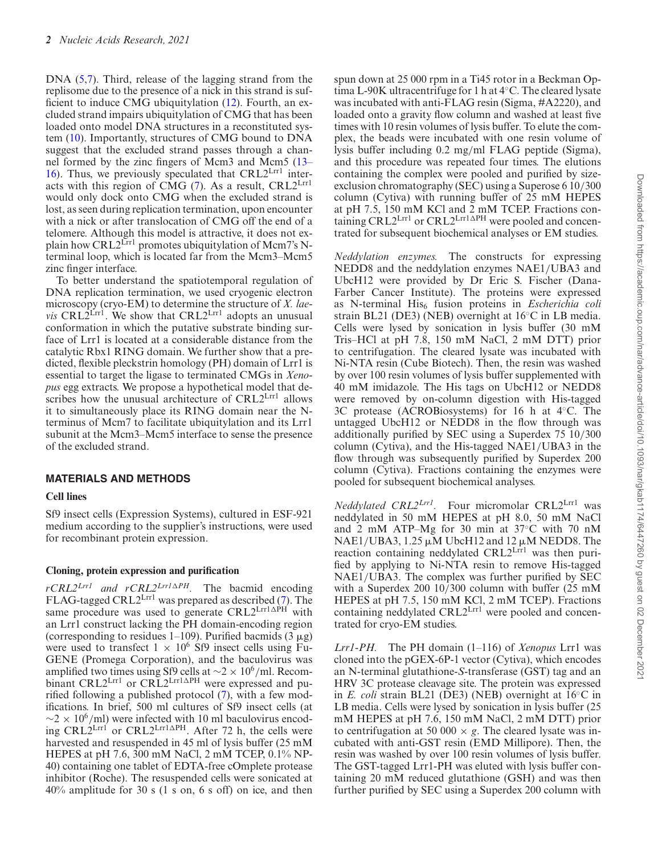DNA [\(5,7\)](#page-11-0). Third, release of the lagging strand from the replisome due to the presence of a nick in this strand is suf ficient to induce CMG ubiquitylation  $(12)$ . Fourth, an excluded strand impairs ubiquitylation of CMG that has been loaded onto model DNA structures in a reconstituted system [\(10\)](#page-11-0). Importantly, structures of CMG bound to DNA suggest that the excluded strand passes through a channel formed by the zinc fingers of Mcm3 and Mcm5 (13– 16). Thus, we previously speculated that  $CRL2<sup>Lrr1</sup>$  interacts with this region of CMG  $(7)$ . As a result, CRL2<sup>Lrr1</sup> would only dock onto CMG when the excluded strand is lost, as seen during replication termination, upon encounter with a nick or after translocation of CMG off the end of a telomere. Although this model is attractive, it does not explain how CRL2<sup>Lrr1</sup> promotes ubiquitylation of Mcm7's Nterminal loop, which is located far from the Mcm3–Mcm5 zinc finger interface.

To better understand the spatiotemporal regulation of DNA replication termination, we used cryogenic electron microscopy (cryo-EM) to determine the structure of *X. laevis* CRL $2^{\text{Lrr1}}$ . We show that CRL $2^{\text{Lrr1}}$  adopts an unusual conformation in which the putative substrate binding surface of Lrr1 is located at a considerable distance from the catalytic Rbx1 RING domain. We further show that a predicted, flexible pleckstrin homology (PH) domain of Lrr1 is essential to target the ligase to terminated CMGs in *Xenopus* egg extracts. We propose a hypothetical model that describes how the unusual architecture of  $CRL2<sup>Lrr1</sup>$  allows it to simultaneously place its RING domain near the Nterminus of Mcm7 to facilitate ubiquitylation and its Lrr1 subunit at the Mcm3–Mcm5 interface to sense the presence of the excluded strand.

#### **MATERIALS AND METHODS**

#### **Cell lines**

Sf9 insect cells (Expression Systems), cultured in ESF-921 medium according to the supplier's instructions, were used for recombinant protein expression.

#### **Cloning, protein expression and puri!cation**

 $rCRL2^{Lrrl}$  *and*  $rCRL2^{Lrrl\Delta PH}$ *.* The bacmid encoding FLAG-tagged CRL2<sup>Lrr1</sup> was prepared as described  $(7)$ . The same procedure was used to generate CRL2LrrlAPH with an Lrr1 construct lacking the PH domain-encoding region (corresponding to residues 1–109). Purified bacmids ( $3 \mu g$ ) were used to transfect  $1 \times 10^6$  Sf9 insect cells using Fu-GENE (Promega Corporation), and the baculovirus was amplified two times using Sf9 cells at ∼2 × 10<sup>6</sup>/ml. Recombinant CRL2Lrr1 or CRL2Lrr1APH were expressed and purified following a published protocol  $(7)$ , with a few modifications. In brief, 500 ml cultures of Sf9 insect cells (at <sup>∼</sup><sup>2</sup> <sup>×</sup> 106*/*ml) were infected with 10 ml baculovirus encoding CRL2L $rr^{\prime}$  or CRL2L $rr^{\prime}$ After 72 h, the cells were harvested and resuspended in 45 ml of lysis buffer (25 mM HEPES at pH 7.6, 300 mM NaCl, 2 mM TCEP, 0.1% NP-40) containing one tablet of EDTA-free cOmplete protease inhibitor (Roche). The resuspended cells were sonicated at 40% amplitude for 30 s (1 s on, 6 s off) on ice, and then

spun down at 25 000 rpm in a Ti45 rotor in a Beckman Optima L-90K ultracentrifuge for 1 h at 4◦C. The cleared lysate was incubated with anti-FLAG resin (Sigma, #A2220), and loaded onto a gravity flow column and washed at least five times with 10 resin volumes of lysis buffer. To elute the complex, the beads were incubated with one resin volume of lysis buffer including 0.2 mg*/*ml FLAG peptide (Sigma), and this procedure was repeated four times. The elutions containing the complex were pooled and purified by sizeexclusion chromatography (SEC) using a Superose 6 10*/*300 column (Cytiva) with running buffer of 25 mM HEPES at pH 7.5, 150 mM KCl and 2 mM TCEP. Fractions containing CRL2<sup>Lrr1</sup> or CRL2<sup>Lrr1</sup><sup>APH</sup> were pooled and concentrated for subsequent biochemical analyses or EM studies.

*Neddylation enzymes.* The constructs for expressing NEDD8 and the neddylation enzymes NAE1*/*UBA3 and UbcH12 were provided by Dr Eric S. Fischer (Dana-Farber Cancer Institute). The proteins were expressed as N-terminal His6 fusion proteins in *Escherichia coli* strain BL21 (DE3) (NEB) overnight at 16◦C in LB media. Cells were lysed by sonication in lysis buffer (30 mM Tris–HCl at pH 7.8, 150 mM NaCl, 2 mM DTT) prior to centrifugation. The cleared lysate was incubated with Ni-NTA resin (Cube Biotech). Then, the resin was washed by over 100 resin volumes of lysis buffer supplemented with 40 mM imidazole. The His tags on UbcH12 or NEDD8 were removed by on-column digestion with His-tagged 3C protease (ACROBiosystems) for 16 h at 4◦C. The untagged UbcH12 or NEDD8 in the flow through was additionally purified by SEC using a Superdex 75 10/300 column (Cytiva), and the His-tagged NAE1*/*UBA3 in the flow through was subsequently purified by Superdex 200 column (Cytiva). Fractions containing the enzymes were pooled for subsequent biochemical analyses.

*Neddylated CRL2<sup>Lrr1</sup>*. Four micromolar CRL2<sup>Lrr1</sup> was neddylated in 50 mM HEPES at pH 8.0, 50 mM NaCl and 2 mM ATP–Mg for 30 min at 37◦C with 70 nM NAE1/UBA3, 1.25  $\mu$ M UbcH12 and 12  $\mu$ M NEDD8. The reaction containing neddylated CRL2<sup>Lrr1</sup> was then purified by applying to Ni-NTA resin to remove His-tagged NAE1/UBA3. The complex was further purified by SEC with a Superdex 200 10*/*300 column with buffer (25 mM HEPES at pH 7.5, 150 mM KCl, 2 mM TCEP). Fractions containing neddylated CRL2Lrr1 were pooled and concentrated for cryo-EM studies.

*Lrr1-PH.* The PH domain (1–116) of *Xenopus* Lrr1 was cloned into the pGEX-6P-1 vector (Cytiva), which encodes an N-terminal glutathione-*S*-transferase (GST) tag and an HRV 3C protease cleavage site. The protein was expressed in *E. coli* strain BL21 (DE3) (NEB) overnight at 16◦C in LB media. Cells were lysed by sonication in lysis buffer (25 mM HEPES at pH 7.6, 150 mM NaCl, 2 mM DTT) prior to centrifugation at 50 000  $\times$  *g*. The cleared lysate was incubated with anti-GST resin (EMD Millipore). Then, the resin was washed by over 100 resin volumes of lysis buffer. The GST-tagged Lrr1-PH was eluted with lysis buffer containing 20 mM reduced glutathione (GSH) and was then further purified by SEC using a Superdex 200 column with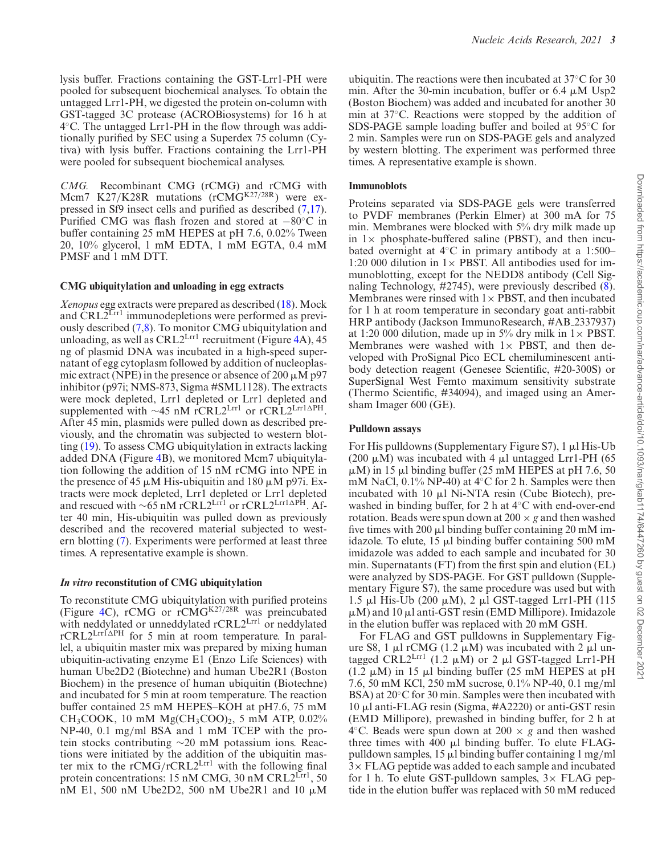lysis buffer. Fractions containing the GST-Lrr1-PH were pooled for subsequent biochemical analyses. To obtain the untagged Lrr1-PH, we digested the protein on-column with GST-tagged 3C protease (ACROBiosystems) for 16 h at  $4^{\circ}$ C. The untagged Lrr1-PH in the flow through was additionally purified by SEC using a Superdex  $75$  column (Cytiva) with lysis buffer. Fractions containing the Lrr1-PH were pooled for subsequent biochemical analyses.

*CMG.* Recombinant CMG (rCMG) and rCMG with Mcm7 K27/K28R mutations (rCMG<sup>K27/28R</sup>) were expressed in Sf9 insect cells and purified as described  $(7,17)$ . Purified CMG was flash frozen and stored at  $-80°$ C in buffer containing 25 mM HEPES at pH 7.6, 0.02% Tween 20, 10% glycerol, 1 mM EDTA, 1 mM EGTA, 0.4 mM PMSF and 1 mM DTT.

#### **CMG ubiquitylation and unloading in egg extracts**

*Xenopus* egg extracts were prepared as described [\(18\)](#page-11-0). Mock and CRL2<sup>Lrr1</sup> immunodepletions were performed as previously described [\(7,8\)](#page-11-0). To monitor CMG ubiquitylation and unloading, as well as  $CRL2<sup>Lrr1</sup>$  recruitment (Figure [4A](#page-8-0)), 45 ng of plasmid DNA was incubated in a high-speed supernatant of egg cytoplasm followed by addition of nucleoplasmic extract (NPE) in the presence or absence of 200  $\mu$ M p97 inhibitor (p97i; NMS-873, Sigma #SML1128). The extracts were mock depleted, Lrr1 depleted or Lrr1 depleted and supplemented with ∼45 nM rCRL2Lrr1 or rCRL2Lrr1∆PH. After 45 min, plasmids were pulled down as described previously, and the chromatin was subjected to western blotting [\(19\)](#page-11-0). To assess CMG ubiquitylation in extracts lacking added DNA (Figure [4B](#page-8-0)), we monitored Mcm7 ubiquitylation following the addition of 15 nM rCMG into NPE in the presence of 45  $\mu$ M His-ubiquitin and 180  $\mu$ M p97i. Extracts were mock depleted, Lrr1 depleted or Lrr1 depleted and rescued with  $\sim$ 65 nM rCRL2<sup>Lrr1</sup> or rCRL2<sup>Lrr1∆PH</sup>. After 40 min, His-ubiquitin was pulled down as previously described and the recovered material subjected to western blotting [\(7\)](#page-11-0). Experiments were performed at least three times. A representative example is shown.

#### *In vitro* **reconstitution of CMG ubiquitylation**

To reconstitute CMG ubiquitylation with purified proteins (Figure [4C](#page-8-0)), rCMG or rCMGK27*/*28R was preincubated with neddylated or unneddylated rCRL2Lrr1 or neddylated rCRL2Lrr<sup>1</sup>APH</sup> for 5 min at room temperature. In parallel, a ubiquitin master mix was prepared by mixing human ubiquitin-activating enzyme E1 (Enzo Life Sciences) with human Ube2D2 (Biotechne) and human Ube2R1 (Boston Biochem) in the presence of human ubiquitin (Biotechne) and incubated for 5 min at room temperature. The reaction buffer contained 25 mM HEPES–KOH at pH7.6, 75 mM CH<sub>3</sub>COOK, 10 mM Mg(CH<sub>3</sub>COO)<sub>2</sub>, 5 mM ATP, 0.02% NP-40, 0.1 mg*/*ml BSA and 1 mM TCEP with the protein stocks contributing ∼20 mM potassium ions. Reactions were initiated by the addition of the ubiquitin master mix to the rCMG/rCRL2<sup>Lrr1</sup> with the following final protein concentrations: 15 nM CMG, 30 nM CRL2<sup>Lrr1</sup>, 50 nM E1, 500 nM Ube2D2, 500 nM Ube2R1 and 10  $\mu$ M

ubiquitin. The reactions were then incubated at 37◦C for 30 min. After the 30-min incubation, buffer or  $6.4 \mu M$  Usp2 (Boston Biochem) was added and incubated for another 30 min at 37◦C. Reactions were stopped by the addition of SDS-PAGE sample loading buffer and boiled at 95◦C for 2 min. Samples were run on SDS-PAGE gels and analyzed by western blotting. The experiment was performed three times. A representative example is shown.

#### **Immunoblots**

Proteins separated via SDS-PAGE gels were transferred to PVDF membranes (Perkin Elmer) at 300 mA for 75 min. Membranes were blocked with 5% dry milk made up in  $1 \times$  phosphate-buffered saline (PBST), and then incubated overnight at 4◦C in primary antibody at a 1:500– 1:20 000 dilution in  $1 \times$  PBST. All antibodies used for immunoblotting, except for the NEDD8 antibody (Cell Signaling Technology, #2745), were previously described [\(8\)](#page-11-0). Membranes were rinsed with  $1 \times$  PBST, and then incubated for 1 h at room temperature in secondary goat anti-rabbit HRP antibody (Jackson ImmunoResearch, #AB 2337937) at 1:20 000 dilution, made up in 5% dry milk in  $1 \times$  PBST. Membranes were washed with  $1 \times$  PBST, and then developed with ProSignal Pico ECL chemiluminescent antibody detection reagent (Genesee Scientific, #20-300S) or SuperSignal West Femto maximum sensitivity substrate (Thermo Scientific,  $\#34094$ ), and imaged using an Amersham Imager 600 (GE).

#### **Pulldown assays**

For His pulldowns (Supplementary Figure S7), 1  $\mu$ l His-Ub (200  $\mu$ M) was incubated with 4  $\mu$ l untagged Lrr1-PH (65  $\mu$ M) in 15  $\mu$ l binding buffer (25 mM HEPES at pH 7.6, 50 mM NaCl, 0.1% NP-40) at 4◦C for 2 h. Samples were then incubated with  $10 \mu l$  Ni-NTA resin (Cube Biotech), prewashed in binding buffer, for 2 h at 4◦C with end-over-end rotation. Beads were spun down at  $200 \times g$  and then washed five times with 200  $\mu$ l binding buffer containing 20 mM imidazole. To elute,  $15 \mu l$  binding buffer containing  $500 \text{ mM}$ imidazole was added to each sample and incubated for 30 min. Supernatants (FT) from the first spin and elution (EL) were analyzed by SDS-PAGE. For GST pulldown (Supplementary Figure S7), the same procedure was used but with 1.5  $\mu$ l His-Ub (200  $\mu$ M), 2  $\mu$ l GST-tagged Lrr1-PH (115  $\mu$ M) and 10  $\mu$ l anti-GST resin (EMD Millipore). Imidazole in the elution buffer was replaced with 20 mM GSH.

For FLAG and GST pulldowns in Supplementary Figure S8, 1  $\mu$ l rCMG (1.2  $\mu$ M) was incubated with 2  $\mu$ l untagged CRL2<sup>Lrr1</sup> (1.2  $\mu$ M) or 2  $\mu$ l GST-tagged Lrr1-PH  $(1.2 \mu M)$  in 15  $\mu$ l binding buffer (25 mM HEPES at pH 7.6, 50 mM KCl, 250 mM sucrose, 0.1% NP-40, 0.1 mg*/*ml BSA) at 20℃ for 30 min. Samples were then incubated with  $10 \mu l$  anti-FLAG resin (Sigma,  $\#A2220$ ) or anti-GST resin (EMD Millipore), prewashed in binding buffer, for 2 h at 4 °C. Beads were spun down at 200  $\times$  *g* and then washed three times with 400  $\mu$ l binding buffer. To elute FLAGpulldown samples, 15  $\mu$ l binding buffer containing 1 mg/ml 3× FLAG peptide was added to each sample and incubated for 1 h. To elute GST-pulldown samples,  $3 \times$  FLAG peptide in the elution buffer was replaced with 50 mM reduced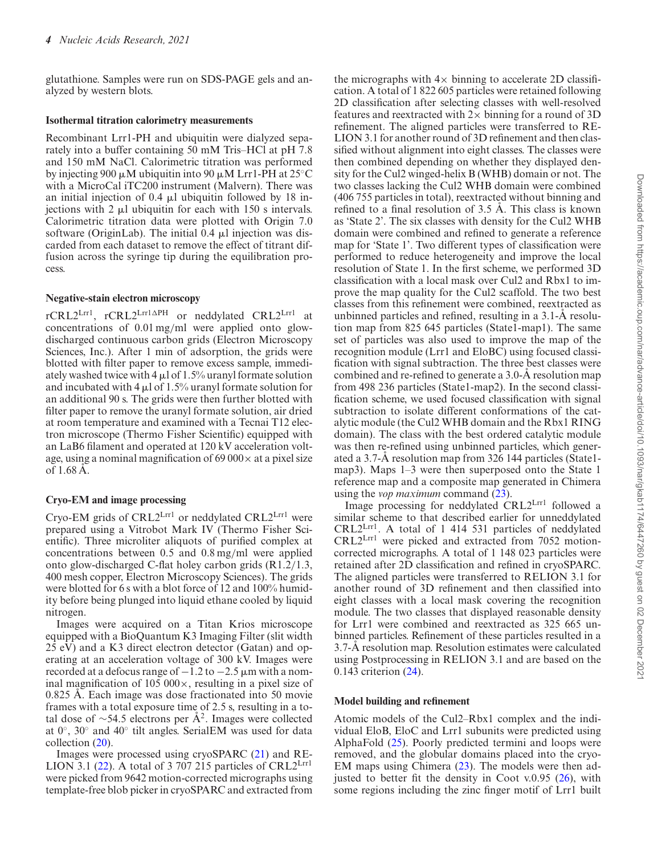glutathione. Samples were run on SDS-PAGE gels and analyzed by western blots.

#### **Isothermal titration calorimetry measurements**

Recombinant Lrr1-PH and ubiquitin were dialyzed separately into a buffer containing 50 mM Tris–HCl at pH 7.8 and 150 mM NaCl. Calorimetric titration was performed by injecting 900  $\mu$ M ubiquitin into 90  $\mu$ M Lrr1-PH at 25°C with a MicroCal iTC200 instrument (Malvern). There was an initial injection of  $0.4 \mu l$  ubiquitin followed by 18 injections with  $2 \mu l$  ubiquitin for each with 150 s intervals. Calorimetric titration data were plotted with Origin 7.0 software (OriginLab). The initial  $0.4 \mu l$  injection was discarded from each dataset to remove the effect of titrant diffusion across the syringe tip during the equilibration process.

#### **Negative-stain electron microscopy**

rCRL2Lrr1, rCRL2Lrr1APH or neddylated CRL2Lrr1 at concentrations of 0.01 mg*/*ml were applied onto glowdischarged continuous carbon grids (Electron Microscopy Sciences, Inc.). After 1 min of adsorption, the grids were blotted with filter paper to remove excess sample, immediately washed twice with 4  $\mu$ l of 1.5% uranyl formate solution and incubated with 4  $\mu$ l of 1.5% uranyl formate solution for an additional 90 s. The grids were then further blotted with filter paper to remove the uranyl formate solution, air dried at room temperature and examined with a Tecnai T12 electron microscope (Thermo Fisher Scientific) equipped with an LaB6 filament and operated at 120 kV acceleration voltage, using a nominal magnification of 69 000 $\times$  at a pixel size of  $1.68 \text{ Å}.$ 

## **Cryo-EM and image processing**

Cryo-EM grids of CRL2Lrr1 or neddylated CRL2Lrr1 were prepared using a Vitrobot Mark IV (Thermo Fisher Scientific). Three microliter aliquots of purified complex at concentrations between 0.5 and 0.8 mg*/*ml were applied onto glow-discharged C-flat holey carbon grids (R1.2/1.3, 400 mesh copper, Electron Microscopy Sciences). The grids were blotted for 6 s with a blot force of 12 and 100% humidity before being plunged into liquid ethane cooled by liquid nitrogen.

Images were acquired on a Titan Krios microscope equipped with a BioQuantum K3 Imaging Filter (slit width 25 eV) and a K3 direct electron detector (Gatan) and operating at an acceleration voltage of 300 kV. Images were recorded at a defocus range of  $-1.2$  to  $-2.5$   $\mu$ m with a nominal magnification of 105 000 $\times$ , resulting in a pixel size of  $0.825$  Å. Each image was dose fractionated into 50 movie frames with a total exposure time of 2.5 s, resulting in a total dose of  $\sim$ 54.5 electrons per Å<sup>2</sup>. Images were collected at 0◦, 30◦ and 40◦ tilt angles. SerialEM was used for data collection [\(20\)](#page-11-0).

Images were processed using cryoSPARC [\(21\)](#page-11-0) and RE-LION 3.1 [\(22\)](#page-11-0). A total of 3 707 215 particles of  $CRL2<sup>Lrr1</sup>$ were picked from 9642 motion-corrected micrographs using template-free blob picker in cryoSPARC and extracted from

the micrographs with  $4\times$  binning to accelerate 2D classification. A total of 1 822 605 particles were retained following 2D classification after selecting classes with well-resolved features and reextracted with  $2\times$  binning for a round of 3D refinement. The aligned particles were transferred to RE-LION 3.1 for another round of 3D refinement and then classified without alignment into eight classes. The classes were then combined depending on whether they displayed density for the Cul2 winged-helix B (WHB) domain or not. The two classes lacking the Cul2 WHB domain were combined (406 755 particles in total), reextracted without binning and refined to a final resolution of  $3.5$  A. This class is known as 'State 2'. The six classes with density for the Cul2 WHB domain were combined and refined to generate a reference map for 'State 1'. Two different types of classification were performed to reduce heterogeneity and improve the local resolution of State 1. In the first scheme, we performed 3D classification with a local mask over Cul2 and Rbx1 to improve the map quality for the Cul2 scaffold. The two best classes from this refinement were combined, reextracted as unbinned particles and refined, resulting in a  $3.1-A$  resolution map from 825 645 particles (State1-map1). The same set of particles was also used to improve the map of the recognition module (Lrr1 and EloBC) using focused classi fication with signal subtraction. The three best classes were combined and re-refined to generate a 3.0-Å resolution map from 498 236 particles (State1-map2). In the second classi fication scheme, we used focused classification with signal subtraction to isolate different conformations of the catalytic module (the Cul2 WHB domain and the Rbx1 RING domain). The class with the best ordered catalytic module was then re-refined using unbinned particles, which generated a 3.7-Å resolution map from 326 144 particles (State1map3). Maps 1–3 were then superposed onto the State 1 reference map and a composite map generated in Chimera using the *vop maximum* command [\(23\)](#page-11-0).

Image processing for neddylated CRL2Lrr1 followed a similar scheme to that described earlier for unneddylated CRL2Lrr1. A total of 1 414 531 particles of neddylated CRL2Lrr1 were picked and extracted from 7052 motioncorrected micrographs. A total of 1 148 023 particles were retained after 2D classification and refined in cryoSPARC. The aligned particles were transferred to RELION 3.1 for another round of 3D refinement and then classified into eight classes with a local mask covering the recognition module. The two classes that displayed reasonable density for Lrr1 were combined and reextracted as 325 665 unbinned particles. Refinement of these particles resulted in a 3.7-A resolution map. Resolution estimates were calculated using Postprocessing in RELION 3.1 and are based on the 0.143 criterion [\(24\)](#page-11-0).

### **Model building and re!nement**

Atomic models of the Cul2–Rbx1 complex and the individual EloB, EloC and Lrr1 subunits were predicted using AlphaFold [\(25\)](#page-11-0). Poorly predicted termini and loops were removed, and the globular domains placed into the cryo-EM maps using Chimera [\(23\)](#page-11-0). The models were then adjusted to better fit the density in Coot v.0.95  $(26)$ , with some regions including the zinc finger motif of Lrr1 built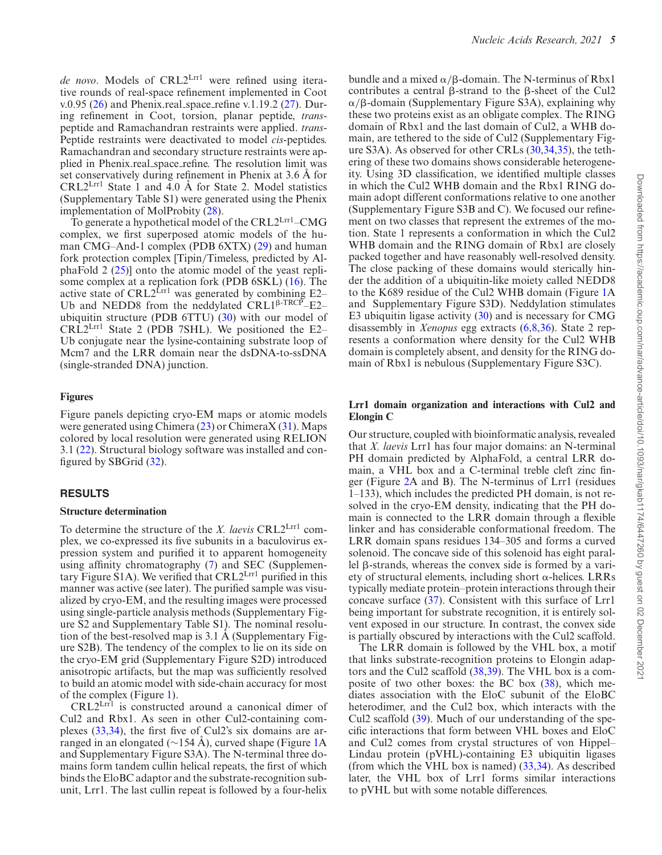de novo. Models of CRL2L<sup>rr1</sup> were refined using iterative rounds of real-space refinement implemented in Coot v.0.95 [\(26\)](#page-11-0) and Phenix.real\_space\_refine v.1.19.2 [\(27\)](#page-11-0). During refinement in Coot, torsion, planar peptide, *trans*peptide and Ramachandran restraints were applied. *trans*-Peptide restraints were deactivated to model *cis*-peptides. Ramachandran and secondary structure restraints were applied in Phenix.real\_space\_refine. The resolution limit was set conservatively during refinement in Phenix at  $3.6 \text{ Å}$  for  $CRL2<sup>Lrr1</sup>$  State 1 and 4.0 Å for State 2. Model statistics (Supplementary Table S1) were generated using the Phenix implementation of MolProbity [\(28\)](#page-11-0).

To generate a hypothetical model of the CRL2Lrr1-CMG complex, we first superposed atomic models of the human CMG–And-1 complex (PDB 6XTX) [\(29\)](#page-11-0) and human fork protection complex [Tipin*/*Timeless, predicted by AlphaFold 2 [\(25\)](#page-11-0)] onto the atomic model of the yeast replisome complex at a replication fork (PDB 6SKL) [\(16\)](#page-11-0). The active state of CRL2<sup>Lrr1</sup> was generated by combining  $E2-$ Ub and NEDD8 from the neddylated  $CRL1^{\beta\text{-}TRCP}$ –E2– ubiquitin structure (PDB 6TTU) [\(30\)](#page-11-0) with our model of  $CRL2<sup>Lrr1</sup>$  State 2 (PDB 7SHL). We positioned the E2– Ub conjugate near the lysine-containing substrate loop of Mcm7 and the LRR domain near the dsDNA-to-ssDNA (single-stranded DNA) junction.

#### **Figures**

Figure panels depicting cryo-EM maps or atomic models were generated using Chimera  $(23)$  or Chimera  $X(31)$  $X(31)$ . Maps colored by local resolution were generated using RELION 3.1 [\(22\)](#page-11-0). Structural biology software was installed and con figured by SBGrid  $(32)$ .

#### **RESULTS**

#### **Structure determination**

To determine the structure of the *X. laevis* CRL2Lrr1 complex, we co-expressed its five subunits in a baculovirus expression system and purified it to apparent homogeneity using affinity chromatography  $(7)$  and SEC (Supplementary Figure S1A). We verified that  $CRL2<sup>Lrr1</sup>$  purified in this manner was active (see later). The purified sample was visualized by cryo-EM, and the resulting images were processed using single-particle analysis methods (Supplementary Figure S2 and Supplementary Table S1). The nominal resolution of the best-resolved map is  $3.1 \text{ Å}$  (Supplementary Figure S2B). The tendency of the complex to lie on its side on the cryo-EM grid (Supplementary Figure S2D) introduced anisotropic artifacts, but the map was sufficiently resolved to build an atomic model with side-chain accuracy for most of the complex (Figure [1\)](#page-5-0).

CRL2Lrr1 is constructed around a canonical dimer of Cul2 and Rbx1. As seen in other Cul2-containing complexes  $(33,34)$ , the first five of Cul2's six domains are arranged in an elongated ( $\sim$ 154 A), curved shape (Figure [1A](#page-5-0) and Supplementary Figure S3A). The N-terminal three domains form tandem cullin helical repeats, the first of which binds the EloBC adaptor and the substrate-recognition subunit, Lrr1. The last cullin repeat is followed by a four-helix

bundle and a mixed  $\alpha$ / $\beta$ -domain. The N-terminus of Rbx1 contributes a central B-strand to the B-sheet of the Cul2  $\alpha$ / $\beta$ -domain (Supplementary Figure S3A), explaining why these two proteins exist as an obligate complex. The RING domain of Rbx1 and the last domain of Cul2, a WHB domain, are tethered to the side of Cul2 (Supplementary Figure S3A). As observed for other CRLs [\(30,34,35\)](#page-11-0), the tethering of these two domains shows considerable heterogeneity. Using 3D classification, we identified multiple classes in which the Cul2 WHB domain and the Rbx1 RING domain adopt different conformations relative to one another (Supplementary Figure S3B and C). We focused our refinement on two classes that represent the extremes of the motion. State 1 represents a conformation in which the Cul2 WHB domain and the RING domain of Rbx1 are closely packed together and have reasonably well-resolved density. The close packing of these domains would sterically hinder the addition of a ubiquitin-like moiety called NEDD8 to the K689 residue of the Cul2 WHB domain (Figure [1A](#page-5-0) and Supplementary Figure S3D). Neddylation stimulates E3 ubiquitin ligase activity [\(30\)](#page-11-0) and is necessary for CMG disassembly in *Xenopus* egg extracts [\(6,8,36\)](#page-11-0). State 2 represents a conformation where density for the Cul2 WHB domain is completely absent, and density for the RING domain of Rbx1 is nebulous (Supplementary Figure S3C).

#### **Lrr1 domain organization and interactions with Cul2 and Elongin C**

Our structure, coupled with bioinformatic analysis, revealed that *X. laevis* Lrr1 has four major domains: an N-terminal PH domain predicted by AlphaFold, a central LRR domain, a VHL box and a C-terminal treble cleft zinc finger (Figure [2A](#page-6-0) and B). The N-terminus of Lrr1 (residues 1–133), which includes the predicted PH domain, is not resolved in the cryo-EM density, indicating that the PH domain is connected to the LRR domain through a flexible linker and has considerable conformational freedom. The LRR domain spans residues 134–305 and forms a curved solenoid. The concave side of this solenoid has eight parallel  $\beta$ -strands, whereas the convex side is formed by a variety of structural elements, including short  $\alpha$ -helices. LRRs typically mediate protein–protein interactions through their concave surface [\(37\)](#page-11-0). Consistent with this surface of Lrr1 being important for substrate recognition, it is entirely solvent exposed in our structure. In contrast, the convex side is partially obscured by interactions with the Cul2 scaffold.

The LRR domain is followed by the VHL box, a motif that links substrate-recognition proteins to Elongin adaptors and the Cul2 scaffold [\(38,39\)](#page-11-0). The VHL box is a composite of two other boxes: the BC box  $(38)$ , which mediates association with the EloC subunit of the EloBC heterodimer, and the Cul2 box, which interacts with the Cul2 scaffold [\(39\)](#page-11-0). Much of our understanding of the specific interactions that form between VHL boxes and EloC and Cul2 comes from crystal structures of von Hippel– Lindau protein (pVHL)-containing E3 ubiquitin ligases (from which the VHL box is named) [\(33,34\)](#page-11-0). As described later, the VHL box of Lrr1 forms similar interactions to pVHL but with some notable differences.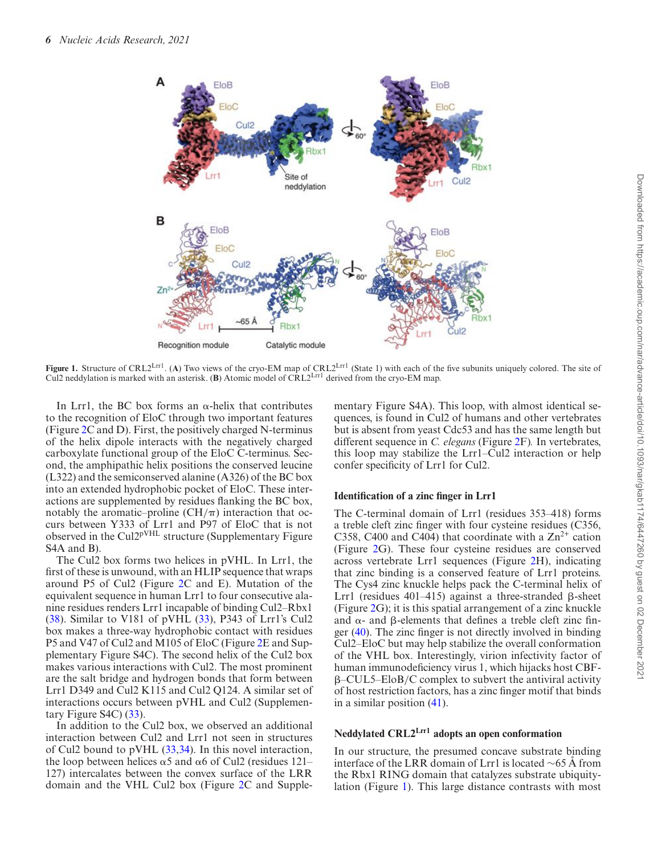<span id="page-5-0"></span>

Figure 1. Structure of CRL2<sup>Lrr1</sup>. (A) Two views of the cryo-EM map of CRL2<sup>Lrr1</sup> (State 1) with each of the five subunits uniquely colored. The site of Cul2 neddylation is marked with an asterisk. (**B**) Atomic model of CRL2Lrr1 derived from the cryo-EM map.

In Lrr1, the BC box forms an  $\alpha$ -helix that contributes to the recognition of EloC through two important features (Figure [2C](#page-6-0) and D). First, the positively charged N-terminus of the helix dipole interacts with the negatively charged carboxylate functional group of the EloC C-terminus. Second, the amphipathic helix positions the conserved leucine (L322) and the semiconserved alanine (A326) of the BC box into an extended hydrophobic pocket of EloC. These interactions are supplemented by residues flanking the BC box, notably the aromatic–proline  $(CH/\pi)$  interaction that occurs between Y333 of Lrr1 and P97 of EloC that is not observed in the Cul2<sup>pVHL</sup> structure (Supplementary Figure S4A and B).

The Cul2 box forms two helices in pVHL. In Lrr1, the first of these is unwound, with an HLIP sequence that wraps around P5 of Cul2 (Figure [2C](#page-6-0) and E). Mutation of the equivalent sequence in human Lrr1 to four consecutive alanine residues renders Lrr1 incapable of binding Cul2–Rbx1 [\(38\)](#page-11-0). Similar to V181 of pVHL [\(33\)](#page-11-0), P343 of Lrr1's Cul2 box makes a three-way hydrophobic contact with residues P5 and V47 of Cul2 and M105 of EloC (Figure [2E](#page-6-0) and Supplementary Figure S4C). The second helix of the Cul2 box makes various interactions with Cul2. The most prominent are the salt bridge and hydrogen bonds that form between Lrr1 D349 and Cul2 K115 and Cul2 Q124. A similar set of interactions occurs between pVHL and Cul2 (Supplementary Figure S4C) [\(33\)](#page-11-0).

In addition to the Cul2 box, we observed an additional interaction between Cul2 and Lrr1 not seen in structures of Cul2 bound to pVHL [\(33,34\)](#page-11-0). In this novel interaction, the loop between helices  $\alpha$ 5 and  $\alpha$ 6 of Cul2 (residues 121– 127) intercalates between the convex surface of the LRR domain and the VHL Cul2 box (Figure [2C](#page-6-0) and Supple-

mentary Figure S4A). This loop, with almost identical sequences, is found in Cul2 of humans and other vertebrates but is absent from yeast Cdc53 and has the same length but different sequence in *C. elegans* (Figure [2F](#page-6-0))*.* In vertebrates, this loop may stabilize the Lrr1–Cul2 interaction or help confer specificity of Lrr1 for Cul2.

#### **Identi!cation of a zinc !nger in Lrr1**

The C-terminal domain of Lrr1 (residues 353–418) forms a treble cleft zinc finger with four cysteine residues (C356, C358, C400 and C404) that coordinate with a  $\text{Zn}^{2+}$  cation (Figure [2G](#page-6-0)). These four cysteine residues are conserved across vertebrate Lrr1 sequences (Figure [2H](#page-6-0)), indicating that zinc binding is a conserved feature of Lrr1 proteins. The Cys4 zinc knuckle helps pack the C-terminal helix of Lrr1 (residues 401–415) against a three-stranded  $\beta$ -sheet (Figure [2G](#page-6-0)); it is this spatial arrangement of a zinc knuckle and  $\alpha$ - and  $\beta$ -elements that defines a treble cleft zinc finger  $(40)$ . The zinc finger is not directly involved in binding Cul2–EloC but may help stabilize the overall conformation of the VHL box. Interestingly, virion infectivity factor of human immunodeficiency virus 1, which hijacks host CBF-"–CUL5–EloB*/*C complex to subvert the antiviral activity of host restriction factors, has a zinc finger motif that binds in a similar position [\(41\)](#page-11-0).

#### **Neddylated CRL2Lrr1 adopts an open conformation**

In our structure, the presumed concave substrate binding interface of the LRR domain of Lrr1 is located  $~\sim 65$  A from the Rbx1 RING domain that catalyzes substrate ubiquitylation (Figure 1). This large distance contrasts with most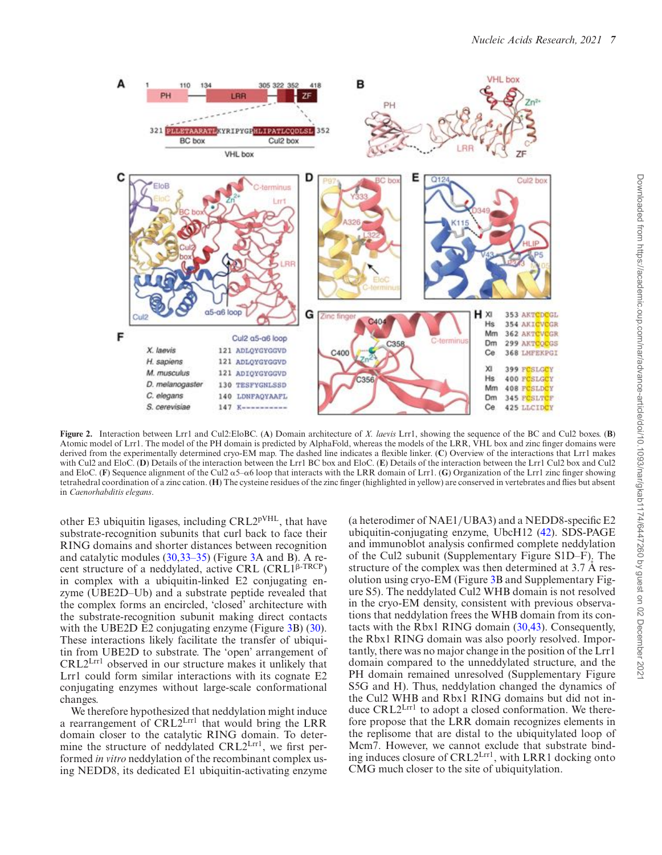<span id="page-6-0"></span>

**Figure 2.** Interaction between Lrr1 and Cul2:EloBC. (**A**) Domain architecture of *X. laevis* Lrr1, showing the sequence of the BC and Cul2 boxes. (**B**) Atomic model of Lrr1. The model of the PH domain is predicted by AlphaFold, whereas the models of the LRR, VHL box and zinc finger domains were derived from the experimentally determined cryo-EM map. The dashed line indicates a flexible linker. (C) Overview of the interactions that Lrr1 makes with Cul2 and EloC. (**D**) Details of the interaction between the Lrr1 BC box and EloC. (**E**) Details of the interaction between the Lrr1 Cul2 box and Cul2 and EloC. (**F**) Sequence alignment of the Cul2  $\alpha$ 5– $\alpha$ 6 loop that interacts with the LRR domain of Lrr1. (**G**) Organization of the Lrr1 zinc finger showing tetrahedral coordination of a zinc cation. (**H**) The cysteine residues of the zinc finger (highlighted in yellow) are conserved in vertebrates and flies but absent in *Caenorhabditis elegans*.

other E3 ubiquitin ligases, including CRL2pVHL, that have substrate-recognition subunits that curl back to face their RING domains and shorter distances between recognition and catalytic modules [\(30,33–35\)](#page-11-0) (Figure [3A](#page-7-0) and B). A recent structure of a neddylated, active CRL (CRL1<sup>B-TRCP</sup>) in complex with a ubiquitin-linked E2 conjugating enzyme (UBE2D–Ub) and a substrate peptide revealed that the complex forms an encircled, 'closed' architecture with the substrate-recognition subunit making direct contacts with the UBE2D E2 conjugating enzyme (Figure [3B](#page-7-0)) [\(30\)](#page-11-0). These interactions likely facilitate the transfer of ubiquitin from UBE2D to substrate. The 'open' arrangement of CRL2Lrr1 observed in our structure makes it unlikely that Lrr1 could form similar interactions with its cognate E2 conjugating enzymes without large-scale conformational changes.

We therefore hypothesized that neddylation might induce a rearrangement of CRL2Lrr1 that would bring the LRR domain closer to the catalytic RING domain. To determine the structure of neddylated  $CRL2<sup>Lrr1</sup>$ , we first performed *in vitro* neddylation of the recombinant complex using NEDD8, its dedicated E1 ubiquitin-activating enzyme (a heterodimer of NAE1/UBA3) and a NEDD8-specific E2 ubiquitin-conjugating enzyme, UbcH12 [\(42\)](#page-11-0). SDS-PAGE and immunoblot analysis confirmed complete neddylation of the Cul2 subunit (Supplementary Figure S1D–F). The structure of the complex was then determined at  $3.7 \text{ Å}$  resolution using cryo-EM (Figure [3B](#page-7-0) and Supplementary Figure S5). The neddylated Cul2 WHB domain is not resolved in the cryo-EM density, consistent with previous observations that neddylation frees the WHB domain from its contacts with the Rbx1 RING domain [\(30](#page-11-0)[,43\)](#page-12-0). Consequently, the Rbx1 RING domain was also poorly resolved. Importantly, there was no major change in the position of the Lrr1 domain compared to the unneddylated structure, and the PH domain remained unresolved (Supplementary Figure S5G and H). Thus, neddylation changed the dynamics of the Cul2 WHB and Rbx1 RING domains but did not induce CRL2<sup>Lrr1</sup> to adopt a closed conformation. We therefore propose that the LRR domain recognizes elements in the replisome that are distal to the ubiquitylated loop of Mcm7. However, we cannot exclude that substrate binding induces closure of CRL2Lrr1, with LRR1 docking onto CMG much closer to the site of ubiquitylation.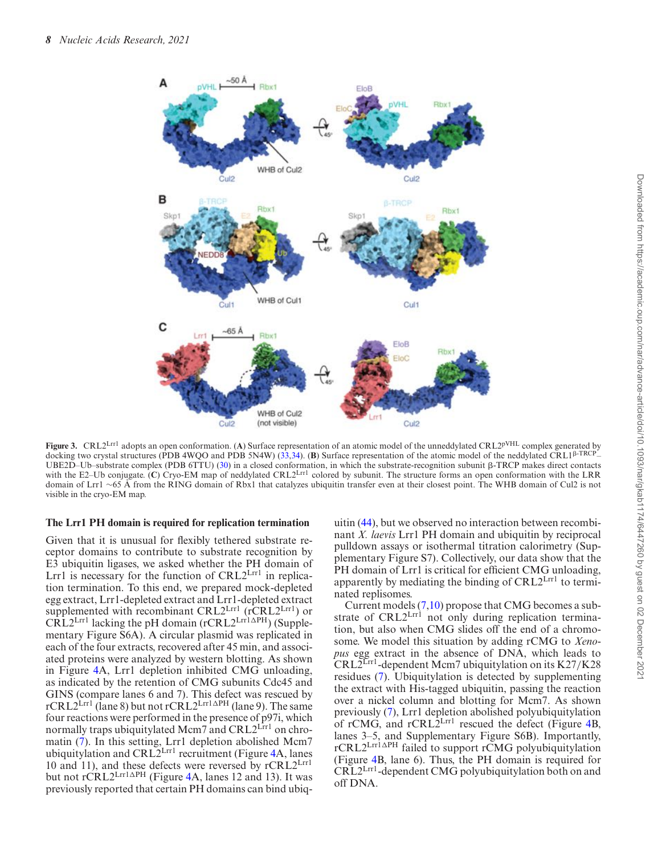<span id="page-7-0"></span>

**Figure 3.** CRL2<sup>Lrr1</sup> adopts an open conformation. (A) Surface representation of an atomic model of the unneddylated CRL2<sup>pVHL</sup> complex generated by docking two crystal structures (PDB 4WQO and PDB 5N4W) [\(33,34\)](#page-11-0). (B) Surface representation of the atomic model of the neddylated CRL1<sup>ß-TRCF</sup> UBE2D–Ub–substrate complex (PDB 6TTU) [\(30\)](#page-11-0) in a closed conformation, in which the substrate-recognition subunit  $\beta$ -TRCP makes direct contacts with the E2–Ub conjugate. (**C**) Cryo-EM map of neddylated CRL2<sup>Lrr1</sup> colored by subunit. The structure forms an open conformation with the LRR domain of Lrr1 <sup>∼</sup><sup>65</sup> A from the RING domain of Rbx1 that catalyzes ubiquitin transfer even at their closest point. The WHB domain of Cul2 is not ˚ visible in the cryo-EM map.

#### **The Lrr1 PH domain is required for replication termination**

Given that it is unusual for flexibly tethered substrate receptor domains to contribute to substrate recognition by E3 ubiquitin ligases, we asked whether the PH domain of Lrr1 is necessary for the function of  $CRL2<sup>Lrr1</sup>$  in replication termination. To this end, we prepared mock-depleted egg extract, Lrr1-depleted extract and Lrr1-depleted extract supplemented with recombinant  $CRL2<sup>Lrr1</sup>$  ( $\overline{CRL2}^{Lrr1}$ ) or  $C\overline{R}L2^{\text{Lrr1}}$  lacking the pH domain (rCRL2 $^{\text{Lrr1}\Delta\text{PH}}$ ) (Supplementary Figure S6A). A circular plasmid was replicated in each of the four extracts, recovered after 45 min, and associated proteins were analyzed by western blotting. As shown in Figure [4A](#page-8-0), Lrr1 depletion inhibited CMG unloading, as indicated by the retention of CMG subunits Cdc45 and GINS (compare lanes 6 and 7). This defect was rescued by  $rCRL2<sup>Lrr1</sup>$  (lane 8) but not  $rCRL2<sup>Lrr1</sup>$  (lane 9). The same four reactions were performed in the presence of p97i, which normally traps ubiquitylated Mcm7 and CRL2<sup>Lrr1</sup> on chromatin [\(7\)](#page-11-0). In this setting, Lrr1 depletion abolished Mcm7 ubiquitylation and  $CRL2<sup>Lrr1</sup>$  recruitment (Figure [4A](#page-8-0), lanes 10 and 11), and these defects were reversed by rCRL2Lrr1 but not  $r\acute{C}RL2$ Lrr1 $\Delta$ PH (Figure [4A](#page-8-0), lanes 12 and 13). It was previously reported that certain PH domains can bind ubiq-

uitin [\(44\)](#page-12-0), but we observed no interaction between recombinant *X. laevis* Lrr1 PH domain and ubiquitin by reciprocal pulldown assays or isothermal titration calorimetry (Supplementary Figure S7). Collectively, our data show that the PH domain of Lrr1 is critical for efficient CMG unloading, apparently by mediating the binding of CRL2Lrr1 to terminated replisomes.

Current models [\(7,10\)](#page-11-0) propose that CMG becomes a substrate of CRL2<sup>Lrrl</sup> not only during replication termination, but also when CMG slides off the end of a chromosome. We model this situation by adding rCMG to *Xenopus* egg extract in the absence of DNA, which leads to CRL2Lrr1-dependent Mcm7 ubiquitylation on its K27*/*K28 residues [\(7\)](#page-11-0). Ubiquitylation is detected by supplementing the extract with His-tagged ubiquitin, passing the reaction over a nickel column and blotting for Mcm7. As shown previously [\(7\)](#page-11-0), Lrr1 depletion abolished polyubiquitylation of rCMG, and  $r$ CRL $2^{\text{Lrr1}}$  rescued the defect (Figure [4B](#page-8-0), lanes 3–5, and Supplementary Figure S6B). Importantly, rCRL2<sup>Lrr1</sup>APH failed to support rCMG polyubiquitylation (Figure [4B](#page-8-0), lane 6). Thus, the PH domain is required for CRL2Lrr1-dependent CMG polyubiquitylation both on and off DNA.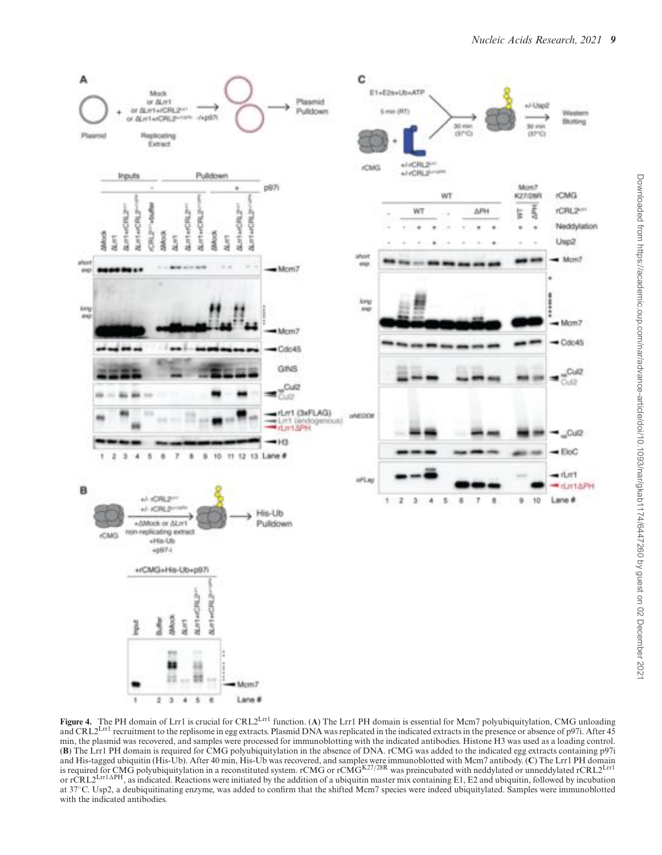<span id="page-8-0"></span>

**Figure 4.** The PH domain of Lrr1 is crucial for CRL2Lrr1 function. (**A**) The Lrr1 PH domain is essential for Mcm7 polyubiquitylation, CMG unloading and CRL2<sup>Lrr1</sup> recruitment to the replisome in egg extracts. Plasmid DNA was replicated in the indicated extracts in the presence or absence of p97i. After 45 min, the plasmid was recovered, and samples were processed for immunoblotting with the indicated antibodies. Histone H3 was used as a loading control. (**B**) The Lrr1 PH domain is required for CMG polyubiquitylation in the absence of DNA. rCMG was added to the indicated egg extracts containing p97i and His-tagged ubiquitin (His-Ub). After 40 min, His-Ub was recovered, and samples were immunoblotted with Mcm7 antibody. (C) The Lrr1 PH domain<br>is required for CMG polyubiquitylation in a reconstituted system. rCMG or rCM or rCRL2<sup>Lrr1</sup>APH, as indicated. Reactions were initiated by the addition of a ubiquitin master mix containing E1, E2 and ubiquitin, followed by incubation at 37°C. Usp2, a deubiquitinating enzyme, was added to confirm that the shifted Mcm7 species were indeed ubiquitylated. Samples were immunoblotted with the indicated antibodies.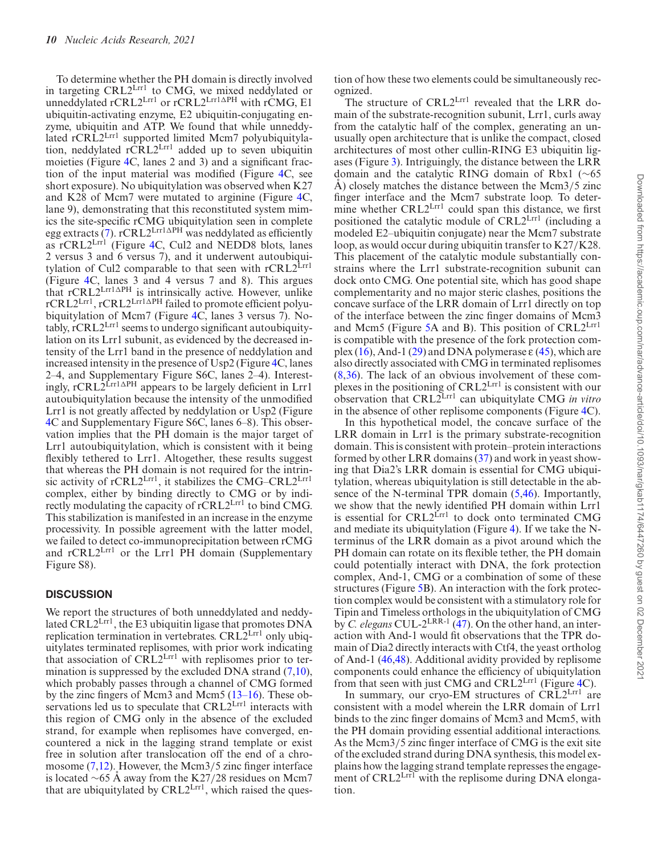To determine whether the PH domain is directly involved in targeting CRL2Lrr1 to CMG, we mixed neddylated or unneddylated rCRL $2^{\text{Lrr1}}$  or rCRL $2^{\text{Lrr1}\Delta\text{PH}}$  with rCMG, E1 ubiquitin-activating enzyme, E2 ubiquitin-conjugating enzyme, ubiquitin and ATP. We found that while unneddylated rCRL2<sup>Lrr1</sup> supported limited Mcm7 polyubiquitylation, neddylated rCRL2Lrr1 added up to seven ubiquitin moieties (Figure [4C](#page-8-0), lanes 2 and 3) and a significant fraction of the input material was modified (Figure  $4C$ , see short exposure). No ubiquitylation was observed when K27 and K28 of Mcm7 were mutated to arginine (Figure [4C](#page-8-0), lane 9), demonstrating that this reconstituted system mimics the site-specific rCMG ubiquitylation seen in complete egg extracts [\(7\)](#page-11-0).  $rCRL2<sup>Lrr1</sup> <sup>APH</sup>$  was neddylated as efficiently as rCRL2<sup>Lrrl</sup> (Figure [4C](#page-8-0), Cul2 and NEDD8 blots, lanes 2 versus 3 and 6 versus 7), and it underwent autoubiquitylation of Cul2 comparable to that seen with  $rCRL2<sup>Lrr1</sup>$ (Figure [4C](#page-8-0), lanes 3 and 4 versus 7 and 8). This argues that  $rCRL2<sup>Lrr1\Delta</sup>PH$  is intrinsically active. However, unlike rCRL2Lrr1, rCRL2Lrr1APH failed to promote efficient polyubiquitylation of Mcm7 (Figure  $4C$ , lanes 3 versus 7). No $tably, rCRL2<sup>Lrr1</sup> seems to undergo significant autoubiquity$ lation on its Lrr1 subunit, as evidenced by the decreased intensity of the Lrr1 band in the presence of neddylation and increased intensity in the presence of Usp2 (Figure [4C](#page-8-0), lanes 2–4, and Supplementary Figure S6C, lanes 2–4). Interestingly,  $rCRL<sup>2</sup>Lrr1\Delta PH$  appears to be largely deficient in Lrr1 autoubiquitylation because the intensity of the unmodified Lrr1 is not greatly affected by neddylation or Usp2 (Figure [4C](#page-8-0) and Supplementary Figure S6C, lanes 6–8). This observation implies that the PH domain is the major target of Lrr1 autoubiquitylation, which is consistent with it being flexibly tethered to Lrr1. Altogether, these results suggest that whereas the PH domain is not required for the intrinsic activity of rCRL2Lrr1, it stabilizes the CMG–CRL2Lrr1 complex, either by binding directly to CMG or by indirectly modulating the capacity of rCRL2Lrr1 to bind CMG. This stabilization is manifested in an increase in the enzyme processivity. In possible agreement with the latter model, we failed to detect co-immunoprecipitation between rCMG and rCRL2<sup>Lrr1</sup> or the Lrr1 PH domain (Supplementary Figure S8).

#### **DISCUSSION**

We report the structures of both unneddylated and neddylated CRL2Lrr1, the E3 ubiquitin ligase that promotes DNA replication termination in vertebrates. CRL2<sup>Lrr1</sup> only ubiquitylates terminated replisomes, with prior work indicating that association of CRL2<sup>Lrr1</sup> with replisomes prior to ter-mination is suppressed by the excluded DNA strand [\(7,10\)](#page-11-0), which probably passes through a channel of CMG formed by the zinc fingers of Mcm3 and Mcm5  $(13-16)$ . These observations led us to speculate that CRL2Lrr1 interacts with this region of CMG only in the absence of the excluded strand, for example when replisomes have converged, encountered a nick in the lagging strand template or exist free in solution after translocation off the end of a chro-mosome [\(7,12\)](#page-11-0). However, the Mcm3/5 zinc finger interface is located ∼65 Å away from the K27/28 residues on Mcm7 that are ubiquitylated by  $CRL2<sup>Lrr1</sup>$ , which raised the question of how these two elements could be simultaneously recognized.

The structure of CRL2L<sup>rr1</sup> revealed that the LRR domain of the substrate-recognition subunit, Lrr1, curls away from the catalytic half of the complex, generating an unusually open architecture that is unlike the compact, closed architectures of most other cullin-RING E3 ubiquitin ligases (Figure [3\)](#page-7-0). Intriguingly, the distance between the LRR domain and the catalytic RING domain of Rbx1 (∼65 A) closely matches the distance between the Mcm3/5 zinc finger interface and the Mcm7 substrate loop. To determine whether  $CRL2<sup>Lrr1</sup>$  could span this distance, we first positioned the catalytic module of CRL2Lrr1 (including a modeled E2–ubiquitin conjugate) near the Mcm7 substrate loop, as would occur during ubiquitin transfer to K27*/*K28. This placement of the catalytic module substantially constrains where the Lrr1 substrate-recognition subunit can dock onto CMG. One potential site, which has good shape complementarity and no major steric clashes, positions the concave surface of the LRR domain of Lrr1 directly on top of the interface between the zinc finger domains of Mcm3 and Mcm5 (Figure [5A](#page-10-0) and B). This position of CRL2Lrr1 is compatible with the presence of the fork protection com-plex [\(16\)](#page-11-0), And-1 [\(29\)](#page-11-0) and DNA polymerase  $\varepsilon$  [\(45\)](#page-12-0), which are also directly associated with CMG in terminated replisomes [\(8,36\)](#page-11-0). The lack of an obvious involvement of these complexes in the positioning of CRL2Lrr1 is consistent with our observation that CRL2Lrr1 can ubiquitylate CMG *in vitro* in the absence of other replisome components (Figure [4C](#page-8-0)).

In this hypothetical model, the concave surface of the LRR domain in Lrr1 is the primary substrate-recognition domain. This is consistent with protein–protein interactions formed by other LRR domains [\(37\)](#page-11-0) and work in yeast showing that Dia2's LRR domain is essential for CMG ubiquitylation, whereas ubiquitylation is still detectable in the absence of the N-terminal TPR domain [\(5,](#page-11-0)[46\)](#page-12-0). Importantly, we show that the newly identified PH domain within Lrr1 is essential for  $CRL2<sup>Lr1</sup>$  to dock onto terminated CMG and mediate its ubiquitylation (Figure [4\)](#page-8-0). If we take the Nterminus of the LRR domain as a pivot around which the PH domain can rotate on its flexible tether, the PH domain could potentially interact with DNA, the fork protection complex, And-1, CMG or a combination of some of these structures (Figure [5B](#page-10-0)). An interaction with the fork protection complex would be consistent with a stimulatory role for Tipin and Timeless orthologs in the ubiquitylation of CMG by *C. elegans* CUL-2LRR-1 [\(47\)](#page-12-0). On the other hand, an interaction with And-1 would fit observations that the TPR domain of Dia2 directly interacts with Ctf4, the yeast ortholog of And-1 [\(46,48\)](#page-12-0). Additional avidity provided by replisome components could enhance the efficiency of ubiquitylation from that seen with just CMG and CRL2Lrr1 (Figure [4C](#page-8-0)).

In summary, our cryo-EM structures of CRL2Lrr1 are consistent with a model wherein the LRR domain of Lrr1 binds to the zinc finger domains of Mcm3 and Mcm5, with the PH domain providing essential additional interactions. As the Mcm3/5 zinc finger interface of CMG is the exit site of the excluded strand during DNA synthesis, this model explains how the lagging strand template represses the engagement of CRL2<sup>Lrr1</sup> with the replisome during DNA elongation.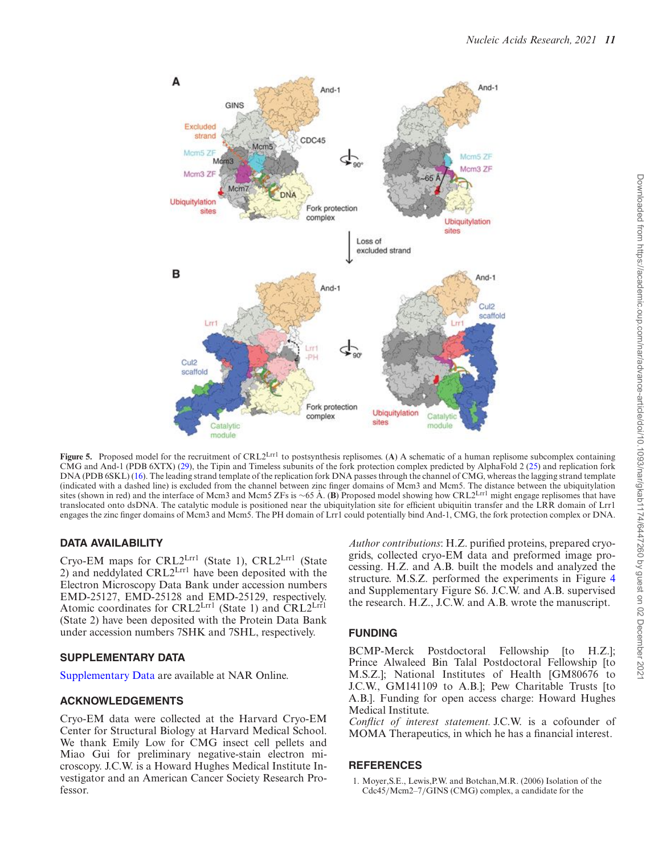<span id="page-10-0"></span>

**Figure 5.** Proposed model for the recruitment of CRL2<sup>Lrr1</sup> to postsynthesis replisomes. (A) A schematic of a human replisome subcomplex containing CMG and And-1 (PDB 6XTX) [\(29\)](#page-11-0), the Tipin and Timeless subunits of the fork protection complex predicted by AlphaFold 2 [\(25\)](#page-11-0) and replication fork DNA (PDB 6SKL) [\(16\)](#page-11-0). The leading strand template of the replication fork DNA passes through the channel of CMG, whereas the lagging strand template (indicated with a dashed line) is excluded from the channel between zinc finger domains of Mcm3 and Mcm5. The distance between the ubiquitylation sites (shown in red) and the interface of Mcm3 and Mcm5 ZFs is ~65 Å. (B) P translocated onto dsDNA. The catalytic module is positioned near the ubiquitylation site for efficient ubiquitin transfer and the LRR domain of Lrr1 engages the zinc finger domains of Mcm3 and Mcm5. The PH domain of Lrr1 could potentially bind And-1, CMG, the fork protection complex or DNA.

#### **DATA AVAILABILITY**

Cryo-EM maps for CRL2Lrr1 (State 1), CRL2Lrr1 (State 2) and neddylated CRL2Lrr1 have been deposited with the Electron Microscopy Data Bank under accession numbers EMD-25127, EMD-25128 and EMD-25129, respectively. Atomic coordinates for CRL2Lrr1 (State 1) and CRL2Lrr1 (State 2) have been deposited with the Protein Data Bank under accession numbers 7SHK and 7SHL, respectively.

## **SUPPLEMENTARY DATA**

[Supplementary Data](https://academic.oup.com/nar/article-lookup/doi/10.1093/nar/gkab1174#supplementary-data) are available at NAR Online.

#### **ACKNOWLEDGEMENTS**

Cryo-EM data were collected at the Harvard Cryo-EM Center for Structural Biology at Harvard Medical School. We thank Emily Low for CMG insect cell pellets and Miao Gui for preliminary negative-stain electron microscopy. J.C.W. is a Howard Hughes Medical Institute Investigator and an American Cancer Society Research Professor.

*Author contributions*: H.Z. purified proteins, prepared cryogrids, collected cryo-EM data and preformed image processing. H.Z. and A.B. built the models and analyzed the structure. M.S.Z. performed the experiments in Figure [4](#page-8-0) and Supplementary Figure S6. J.C.W. and A.B. supervised the research. H.Z., J.C.W. and A.B. wrote the manuscript.

## **FUNDING**

BCMP-Merck Postdoctoral Fellowship [to H.Z.]; Prince Alwaleed Bin Talal Postdoctoral Fellowship [to M.S.Z.]; National Institutes of Health [GM80676 to J.C.W., GM141109 to A.B.]; Pew Charitable Trusts [to A.B.]. Funding for open access charge: Howard Hughes Medical Institute.

*Con!ict of interest statement.* J.C.W. is a cofounder of MOMA Therapeutics, in which he has a financial interest.

## **REFERENCES**

1. Moyer,S.E., Lewis,P.W. and Botchan,M.R. (2006) Isolation of the Cdc45*/*Mcm2–7*/*GINS (CMG) complex, a candidate for the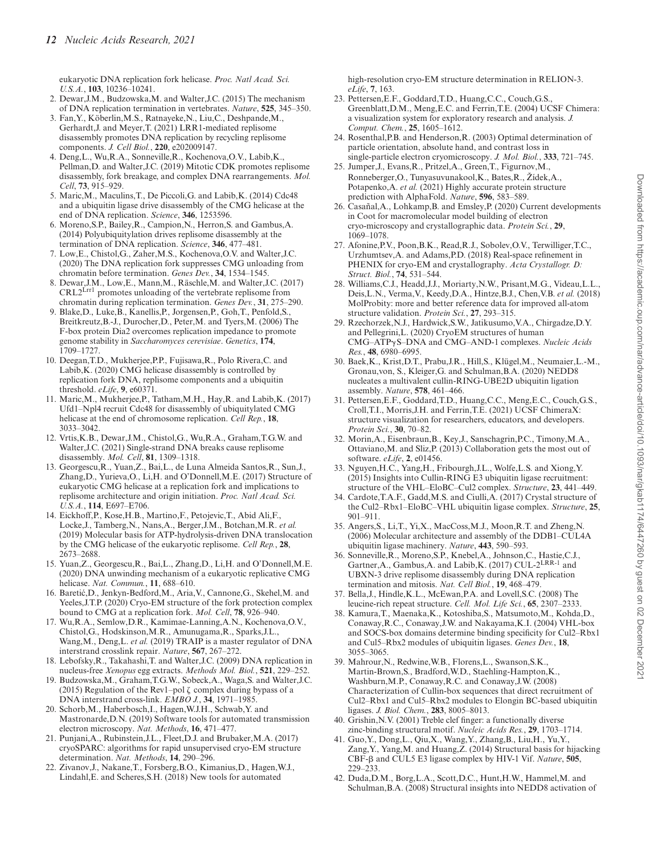<span id="page-11-0"></span>eukaryotic DNA replication fork helicase. *Proc. Natl Acad. Sci. U.S.A.*, **103**, 10236–10241.

- 2. Dewar,J.M., Budzowska,M. and Walter,J.C. (2015) The mechanism of DNA replication termination in vertebrates. *Nature*, **525**, 345–350.
- 3. Fan, Y., Köberlin, M.S., Ratnayeke, N., Liu, C., Deshpande, M., Gerhardt,J. and Meyer,T. (2021) LRR1-mediated replisome disassembly promotes DNA replication by recycling replisome components. *J. Cell Biol.*, **220**, e202009147.
- 4. Deng,L., Wu,R.A., Sonneville,R., Kochenova,O.V., Labib,K., Pellman,D. and Walter,J.C. (2019) Mitotic CDK promotes replisome disassembly, fork breakage, and complex DNA rearrangements. *Mol. Cell*, **73**, 915–929.
- 5. Maric,M., Maculins,T., De Piccoli,G. and Labib,K. (2014) Cdc48 and a ubiquitin ligase drive disassembly of the CMG helicase at the end of DNA replication. *Science*, **346**, 1253596.
- 6. Moreno,S.P., Bailey,R., Campion,N., Herron,S. and Gambus,A. (2014) Polyubiquitylation drives replisome disassembly at the termination of DNA replication. *Science*, **346**, 477–481.
- 7. Low,E., Chistol,G., Zaher,M.S., Kochenova,O.V. and Walter,J.C. (2020) The DNA replication fork suppresses CMG unloading from chromatin before termination. *Genes Dev.*, **34**, 1534–1545.
- 8. Dewar, J.M., Low, E., Mann, M., Räschle, M. and Walter, J.C. (2017) CRL2<sup>Lrr1</sup> promotes unloading of the vertebrate replisome from chromatin during replication termination. *Genes Dev.*, **31**, 275–290.
- 9. Blake,D., Luke,B., Kanellis,P., Jorgensen,P., Goh,T., Penfold,S., Breitkreutz,B.-J., Durocher,D., Peter,M. and Tyers,M. (2006) The F-box protein Dia2 overcomes replication impedance to promote genome stability in *Saccharomyces cerevisiae*. *Genetics*, **174**, 1709–1727.
- 10. Deegan,T.D., Mukherjee,P.P., Fujisawa,R., Polo Rivera,C. and Labib,K. (2020) CMG helicase disassembly is controlled by replication fork DNA, replisome components and a ubiquitin threshold. *eLife*, **9**, e60371.
- 11. Maric,M., Mukherjee,P., Tatham,M.H., Hay,R. and Labib,K. (2017) Ufd1–Npl4 recruit Cdc48 for disassembly of ubiquitylated CMG helicase at the end of chromosome replication. *Cell Rep.*, **18**, 3033–3042.
- 12. Vrtis,K.B., Dewar,J.M., Chistol,G., Wu,R.A., Graham,T.G.W. and Walter,J.C. (2021) Single-strand DNA breaks cause replisome disassembly. *Mol. Cell*, **81**, 1309–1318.
- 13. Georgescu,R., Yuan,Z., Bai,L., de Luna Almeida Santos,R., Sun,J., Zhang,D., Yurieva,O., Li,H. and O'Donnell,M.E. (2017) Structure of eukaryotic CMG helicase at a replication fork and implications to replisome architecture and origin initiation. *Proc. Natl Acad. Sci. U.S.A.*, **114**, E697–E706.
- 14. Eickhoff,P., Kose,H.B., Martino,F., Petojevic,T., Abid Ali,F., Locke,J., Tamberg,N., Nans,A., Berger,J.M., Botchan,M.R. *et al.* (2019) Molecular basis for ATP-hydrolysis-driven DNA translocation by the CMG helicase of the eukaryotic replisome. *Cell Rep.*, **28**, 2673–2688.
- 15. Yuan,Z., Georgescu,R., Bai,L., Zhang,D., Li,H. and O'Donnell,M.E. (2020) DNA unwinding mechanism of a eukaryotic replicative CMG helicase. *Nat. Commun.*, **11**, 688–610.
- 16. Baretic,D., Jenkyn-Bedford,M., Aria,V., Cannone,G., Skehel,M. and ´ Yeeles,J.T.P. (2020) Cryo-EM structure of the fork protection complex bound to CMG at a replication fork. *Mol. Cell*, **78**, 926–940.
- 17. Wu,R.A., Semlow,D.R., Kamimae-Lanning,A.N., Kochenova,O.V., Chistol,G., Hodskinson,M.R., Amunugama,R., Sparks,J.L., Wang,M., Deng,L. *et al.* (2019) TRAIP is a master regulator of DNA interstrand crosslink repair. *Nature*, **567**, 267–272.
- 18. Lebofsky,R., Takahashi,T. and Walter,J.C. (2009) DNA replication in nucleus-free *Xenopus* egg extracts. *Methods Mol. Biol.*, **521**, 229–252.
- 19. Budzowska,M., Graham,T.G.W., Sobeck,A., Waga,S. and Walter,J.C. (2015) Regulation of the Rev1–pol  $\zeta$  complex during bypass of a DNA interstrand cross-link. *EMBO J.*, **34**, 1971–1985.
- 20. Schorb,M., Haberbosch,I., Hagen,W.J.H., Schwab,Y. and Mastronarde,D.N. (2019) Software tools for automated transmission electron microscopy. *Nat. Methods*, **16**, 471–477.
- 21. Punjani,A., Rubinstein,J.L., Fleet,D.J. and Brubaker,M.A. (2017) cryoSPARC: algorithms for rapid unsupervised cryo-EM structure determination. *Nat. Methods*, **14**, 290–296.
- 22. Zivanov,J., Nakane,T., Forsberg,B.O., Kimanius,D., Hagen,W.J., Lindahl,E. and Scheres,S.H. (2018) New tools for automated

high-resolution cryo-EM structure determination in RELION-3. *eLife*, **7**, 163.

- 23. Pettersen,E.F., Goddard,T.D., Huang,C.C., Couch,G.S., Greenblatt,D.M., Meng,E.C. and Ferrin,T.E. (2004) UCSF Chimera: a visualization system for exploratory research and analysis. *J. Comput. Chem.*, **25**, 1605–1612.
- 24. Rosenthal,P.B. and Henderson,R. (2003) Optimal determination of particle orientation, absolute hand, and contrast loss in single-particle electron cryomicroscopy. *J. Mol. Biol.*, **333**, 721–745.
- 25. Jumper,J., Evans,R., Pritzel,A., Green,T., Figurnov,M., Ronneberger, O., Tunyasuvunakool, K., Bates, R., Žídek, A., Potapenko,A. *et al.* (2021) Highly accurate protein structure prediction with AlphaFold. *Nature*, **596**, 583–589.
- 26. Casañal, A., Lohkamp, B. and Emsley, P. (2020) Current developments in Coot for macromolecular model building of electron cryo-microscopy and crystallographic data. *Protein Sci.*, **29**, 1069–1078.
- 27. Afonine,P.V., Poon,B.K., Read,R.J., Sobolev,O.V., Terwilliger,T.C., Urzhumtsev, A. and Adams, P.D. (2018) Real-space refinement in PHENIX for cryo-EM and crystallography. *Acta Crystallogr. D: Struct. Biol.*, **74**, 531–544.
- 28. Williams,C.J., Headd,J.J., Moriarty,N.W., Prisant,M.G., Videau,L.L., Deis,L.N., Verma,V., Keedy,D.A., Hintze,B.J., Chen,V.B. *et al.* (2018) MolProbity: more and better reference data for improved all-atom structure validation. *Protein Sci.*, **27**, 293–315.
- 29. Rzechorzek,N.J., Hardwick,S.W., Jatikusumo,V.A., Chirgadze,D.Y. and Pellegrini,L. (2020) CryoEM structures of human CMG-ATP $\gamma$ S-DNA and CMG-AND-1 complexes. *Nucleic Acids Res.*, **48**, 6980–6995.
- 30. Baek, K., Krist, D.T., Prabu, J.R., Hill, S., Klügel, M., Neumaier, L.-M., Gronau,von, S., Kleiger,G. and Schulman,B.A. (2020) NEDD8 nucleates a multivalent cullin-RING-UBE2D ubiquitin ligation assembly. *Nature*, **578**, 461–466.
- 31. Pettersen,E.F., Goddard,T.D., Huang,C.C., Meng,E.C., Couch,G.S., Croll,T.I., Morris,J.H. and Ferrin,T.E. (2021) UCSF ChimeraX: structure visualization for researchers, educators, and developers. *Protein Sci.*, **30**, 70–82.
- 32. Morin,A., Eisenbraun,B., Key,J., Sanschagrin,P.C., Timony,M.A., Ottaviano,M. and Sliz,P. (2013) Collaboration gets the most out of software. *eLife*, **2**, e01456.
- 33. Nguyen,H.C., Yang,H., Fribourgh,J.L., Wolfe,L.S. and Xiong,Y. (2015) Insights into Cullin-RING E3 ubiquitin ligase recruitment: structure of the VHL–EloBC–Cul2 complex. *Structure*, **23**, 441–449.
- 34. Cardote,T.A.F., Gadd,M.S. and Ciulli,A. (2017) Crystal structure of the Cul2–Rbx1–EloBC–VHL ubiquitin ligase complex. *Structure*, **25**, 901–911.
- 35. Angers,S., Li,T., Yi,X., MacCoss,M.J., Moon,R.T. and Zheng,N. (2006) Molecular architecture and assembly of the DDB1–CUL4A ubiquitin ligase machinery. *Nature*, **443**, 590–593.
- 36. Sonneville,R., Moreno,S.P., Knebel,A., Johnson,C., Hastie,C.J., Gartner,A., Gambus,A. and Labib,K. (2017) CUL-2LRR-1 and UBXN-3 drive replisome disassembly during DNA replication termination and mitosis. *Nat. Cell Biol.*, **19**, 468–479.
- 37. Bella,J., Hindle,K.L., McEwan,P.A. and Lovell,S.C. (2008) The leucine-rich repeat structure. *Cell. Mol. Life Sci.*, **65**, 2307–2333.
- 38. Kamura,T., Maenaka,K., Kotoshiba,S., Matsumoto,M., Kohda,D., Conaway,R.C., Conaway,J.W. and Nakayama,K.I. (2004) VHL-box and SOCS-box domains determine binding specificity for Cul2–Rbx1 and Cul5–Rbx2 modules of ubiquitin ligases. *Genes Dev.*, **18**, 3055–3065.
- 39. Mahrour,N., Redwine,W.B., Florens,L., Swanson,S.K., Martin-Brown,S., Bradford,W.D., Staehling-Hampton,K., Washburn,M.P., Conaway,R.C. and Conaway,J.W. (2008) Characterization of Cullin-box sequences that direct recruitment of Cul2–Rbx1 and Cul5–Rbx2 modules to Elongin BC-based ubiquitin ligases. *J. Biol. Chem.*, **283**, 8005–8013.
- 40. Grishin, N.V. (2001) Treble clef finger: a functionally diverse zinc-binding structural motif. *Nucleic Acids Res.*, **29**, 1703–1714.
- 41. Guo,Y., Dong,L., Qiu,X., Wang,Y., Zhang,B., Liu,H., Yu,Y., Zang,Y., Yang,M. and Huang,Z. (2014) Structural basis for hijacking CBF- $\beta$  and CUL5 E3 ligase complex by HIV-1 Vif. *Nature*, **505**, 229–233.
- 42. Duda,D.M., Borg,L.A., Scott,D.C., Hunt,H.W., Hammel,M. and Schulman,B.A. (2008) Structural insights into NEDD8 activation of